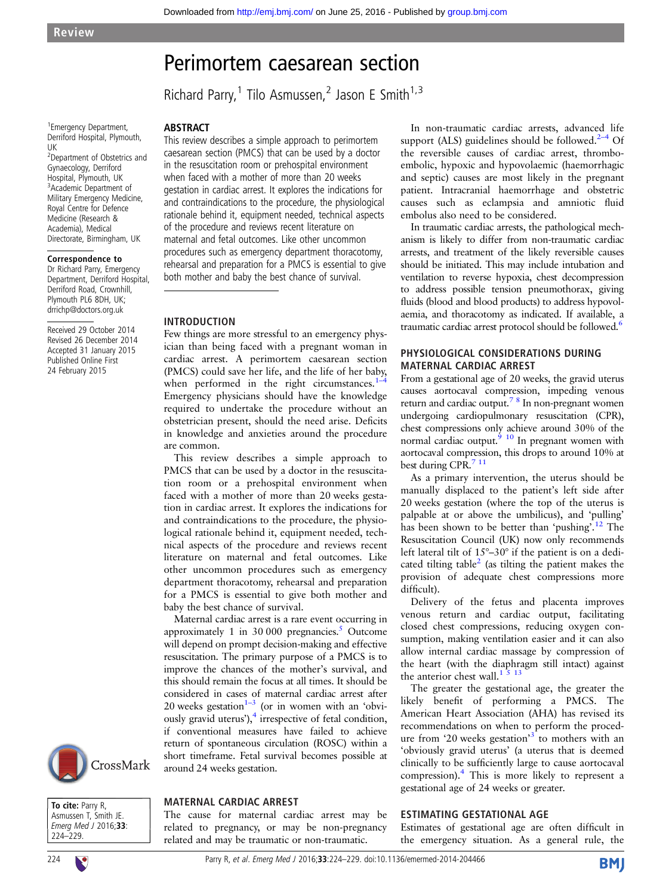# Perimortem caesarean section

Richard Parry,<sup>1</sup> Tilo Asmussen,<sup>2</sup> Jason E Smith<sup>1,3</sup>

1 Emergency Department, Derriford Hospital, Plymouth, UK

<sup>2</sup> Department of Obstetrics and Gynaecology, Derriford Hospital, Plymouth, UK <sup>3</sup>Academic Department of Military Emergency Medicine, Royal Centre for Defence Medicine (Research & Academia), Medical Directorate, Birmingham, UK

#### Correspondence to

Dr Richard Parry, Emergency Department, Derriford Hospital, Derriford Road, Crownhill, Plymouth PL6 8DH, UK; drrichp@doctors.org.uk

Received 29 October 2014 Revised 26 December 2014 Accepted 31 January 2015 Published Online First 24 February 2015

This review describes a simple approach to perimortem caesarean section (PMCS) that can be used by a doctor in the resuscitation room or prehospital environment when faced with a mother of more than 20 weeks gestation in cardiac arrest. It explores the indications for and contraindications to the procedure, the physiological rationale behind it, equipment needed, technical aspects of the procedure and reviews recent literature on maternal and fetal outcomes. Like other uncommon procedures such as emergency department thoracotomy, rehearsal and preparation for a PMCS is essential to give both mother and baby the best chance of survival.

### INTRODUCTION

ABSTRACT

Few things are more stressful to an emergency physician than being faced with a pregnant woman in cardiac arrest. A perimortem caesarean section (PMCS) could save her life, and the life of her baby, when performed in the right circumstances. $1-4$  $1-4$ Emergency physicians should have the knowledge required to undertake the procedure without an obstetrician present, should the need arise. Deficits in knowledge and anxieties around the procedure are common.

This review describes a simple approach to PMCS that can be used by a doctor in the resuscitation room or a prehospital environment when faced with a mother of more than 20 weeks gestation in cardiac arrest. It explores the indications for and contraindications to the procedure, the physiological rationale behind it, equipment needed, technical aspects of the procedure and reviews recent literature on maternal and fetal outcomes. Like other uncommon procedures such as emergency department thoracotomy, rehearsal and preparation for a PMCS is essential to give both mother and baby the best chance of survival.

Maternal cardiac arrest is a rare event occurring in approximately 1 in  $30\,000$  pregnancies.<sup>5</sup> Outcome will depend on prompt decision-making and effective resuscitation. The primary purpose of a PMCS is to improve the chances of the mother's survival, and this should remain the focus at all times. It should be considered in cases of maternal cardiac arrest after 20 weeks gestation $1-3$  (or in women with an 'obvi-ously gravid uterus'),<sup>[4](#page-5-0)</sup> irrespective of fetal condition, if conventional measures have failed to achieve return of spontaneous circulation (ROSC) within a short timeframe. Fetal survival becomes possible at around 24 weeks gestation.



To cite: Parry R, Asmussen T, Smith JE. Emerg Med J 2016;33: 224–229.

### MATERNAL CARDIAC ARREST

The cause for maternal cardiac arrest may be related to pregnancy, or may be non-pregnancy related and may be traumatic or non-traumatic.

In non-traumatic cardiac arrests, advanced life support (ALS) guidelines should be followed. $2-4$  Of the reversible causes of cardiac arrest, thromboembolic, hypoxic and hypovolaemic (haemorrhagic and septic) causes are most likely in the pregnant patient. Intracranial haemorrhage and obstetric causes such as eclampsia and amniotic fluid embolus also need to be considered.

In traumatic cardiac arrests, the pathological mechanism is likely to differ from non-traumatic cardiac arrests, and treatment of the likely reversible causes should be initiated. This may include intubation and ventilation to reverse hypoxia, chest decompression to address possible tension pneumothorax, giving fluids (blood and blood products) to address hypovolaemia, and thoracotomy as indicated. If available, a traumatic cardiac arrest protocol should be followed.<sup>6</sup>

### PHYSIOLOGICAL CONSIDERATIONS DURING MATERNAL CARDIAC ARREST

From a gestational age of 20 weeks, the gravid uterus causes aortocaval compression, impeding venous return and cardiac output.<sup>78</sup> In non-pregnant women undergoing cardiopulmonary resuscitation (CPR), chest compressions only achieve around 30% of the normal cardiac output. $910$  In pregnant women with aortocaval compression, this drops to around 10% at best during CPR.<sup>7 11</sup>

As a primary intervention, the uterus should be manually displaced to the patient's left side after 20 weeks gestation (where the top of the uterus is palpable at or above the umbilicus), and 'pulling' has been shown to be better than 'pushing'.<sup>[12](#page-5-0)</sup> The Resuscitation Council (UK) now only recommends left lateral tilt of 15°–30° if the patient is on a dedicated tilting table $^2$  $^2$  (as tilting the patient makes the provision of adequate chest compressions more difficult).

Delivery of the fetus and placenta improves venous return and cardiac output, facilitating closed chest compressions, reducing oxygen consumption, making ventilation easier and it can also allow internal cardiac massage by compression of the heart (with the diaphragm still intact) against the anterior chest wall.<sup>1  $\overline{5}$  13</sup>

The greater the gestational age, the greater the likely benefit of performing a PMCS. The American Heart Association (AHA) has revised its recommendations on when to perform the proced-ure from '20 weeks gestation'<sup>[3](#page-5-0)</sup> to mothers with an 'obviously gravid uterus' (a uterus that is deemed clinically to be sufficiently large to cause aortocaval compression)[.4](#page-5-0) This is more likely to represent a gestational age of 24 weeks or greater.

### ESTIMATING GESTATIONAL AGE

Estimates of gestational age are often difficult in the emergency situation. As a general rule, the

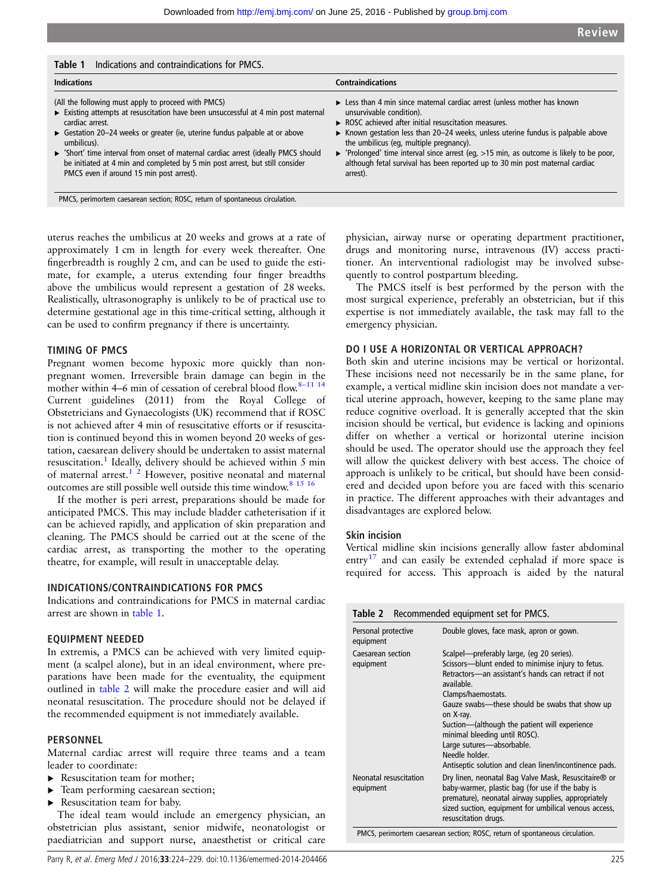| <b>Indications</b>                                                               | <b>Contraindications</b>                                                                               |
|----------------------------------------------------------------------------------|--------------------------------------------------------------------------------------------------------|
| (All the following must apply to proceed with PMCS)                              | $\triangleright$ Less than 4 min since maternal cardiac arrest (unless mother has known                |
| Existing attempts at resuscitation have been unsuccessful at 4 min post maternal | unsurvivable condition).                                                                               |
| cardiac arrest.                                                                  | $\triangleright$ ROSC achieved after initial resuscitation measures.                                   |
| Gestation 20-24 weeks or greater (ie, uterine fundus palpable at or above        | ► Known gestation less than 20–24 weeks, unless uterine fundus is palpable above                       |
| umbilicus).                                                                      | the umbilicus (eq. multiple pregnancy).                                                                |
| Short' time interval from onset of maternal cardiac arrest (ideally PMCS should  | $\triangleright$ 'Prolonged' time interval since arrest (eg, >15 min, as outcome is likely to be poor, |
| be initiated at 4 min and completed by 5 min post arrest, but still consider     | although fetal survival has been reported up to 30 min post maternal cardiac                           |
| PMCS even if around 15 min post arrest).                                         | arrest).                                                                                               |

uterus reaches the umbilicus at 20 weeks and grows at a rate of approximately 1 cm in length for every week thereafter. One fingerbreadth is roughly 2 cm, and can be used to guide the estimate, for example, a uterus extending four finger breadths above the umbilicus would represent a gestation of 28 weeks. Realistically, ultrasonography is unlikely to be of practical use to determine gestational age in this time-critical setting, although it can be used to confirm pregnancy if there is uncertainty.

# TIMING OF PMCS

Pregnant women become hypoxic more quickly than nonpregnant women. Irreversible brain damage can begin in the mother within 4–6 min of cessation of cerebral blood flow.<sup>8–[11 14](#page-5-0)</sup> Current guidelines (2011) from the Royal College of Obstetricians and Gynaecologists (UK) recommend that if ROSC is not achieved after 4 min of resuscitative efforts or if resuscitation is continued beyond this in women beyond 20 weeks of gestation, caesarean delivery should be undertaken to assist maternal resuscitation.<sup>[1](#page-5-0)</sup> Ideally, delivery should be achieved within 5 min of maternal arrest.<sup>[1 2](#page-5-0)</sup> However, positive neonatal and maternal outcomes are still possible well outside this time window.[8 15 16](#page-5-0)

If the mother is peri arrest, preparations should be made for anticipated PMCS. This may include bladder catheterisation if it can be achieved rapidly, and application of skin preparation and cleaning. The PMCS should be carried out at the scene of the cardiac arrest, as transporting the mother to the operating theatre, for example, will result in unacceptable delay.

### INDICATIONS/CONTRAINDICATIONS FOR PMCS

Indications and contraindications for PMCS in maternal cardiac arrest are shown in table 1.

### EQUIPMENT NEEDED

In extremis, a PMCS can be achieved with very limited equipment (a scalpel alone), but in an ideal environment, where preparations have been made for the eventuality, the equipment outlined in table 2 will make the procedure easier and will aid neonatal resuscitation. The procedure should not be delayed if the recommended equipment is not immediately available.

### PERSONNEL

Maternal cardiac arrest will require three teams and a team leader to coordinate:

- ▶ Resuscitation team for mother;
- ▸ Team performing caesarean section;
- ▶ Resuscitation team for baby.

The ideal team would include an emergency physician, an obstetrician plus assistant, senior midwife, neonatologist or paediatrician and support nurse, anaesthetist or critical care physician, airway nurse or operating department practitioner, drugs and monitoring nurse, intravenous (IV) access practitioner. An interventional radiologist may be involved subsequently to control postpartum bleeding.

The PMCS itself is best performed by the person with the most surgical experience, preferably an obstetrician, but if this expertise is not immediately available, the task may fall to the emergency physician.

### DO I USE A HORIZONTAL OR VERTICAL APPROACH?

Both skin and uterine incisions may be vertical or horizontal. These incisions need not necessarily be in the same plane, for example, a vertical midline skin incision does not mandate a vertical uterine approach, however, keeping to the same plane may reduce cognitive overload. It is generally accepted that the skin incision should be vertical, but evidence is lacking and opinions differ on whether a vertical or horizontal uterine incision should be used. The operator should use the approach they feel will allow the quickest delivery with best access. The choice of approach is unlikely to be critical, but should have been considered and decided upon before you are faced with this scenario in practice. The different approaches with their advantages and disadvantages are explored below.

# Skin incision

Vertical midline skin incisions generally allow faster abdominal entry<sup>17</sup> and can easily be extended cephalad if more space is required for access. This approach is aided by the natural

| Table 2 Recommended equipment set for PMCS. |                                                                                                                                                                                                                                                                                                                                                                                                                                                      |
|---------------------------------------------|------------------------------------------------------------------------------------------------------------------------------------------------------------------------------------------------------------------------------------------------------------------------------------------------------------------------------------------------------------------------------------------------------------------------------------------------------|
| Personal protective<br>equipment            | Double gloves, face mask, apron or gown.                                                                                                                                                                                                                                                                                                                                                                                                             |
| Caesarean section<br>equipment              | Scalpel—preferably large, (eg 20 series).<br>Scissors---blunt ended to minimise injury to fetus.<br>Retractors-an assistant's hands can retract if not<br>available.<br>Clamps/haemostats.<br>Gauze swabs—these should be swabs that show up<br>on X-ray.<br>Suction—(although the patient will experience<br>minimal bleeding until ROSC).<br>Large sutures-absorbable.<br>Needle holder.<br>Antiseptic solution and clean linen/incontinence pads. |
| Neonatal resuscitation<br>equipment         | Dry linen, neonatal Bag Valve Mask, Resuscitaire® or<br>baby-warmer, plastic bag (for use if the baby is<br>premature), neonatal airway supplies, appropriately<br>sized suction, equipment for umbilical venous access,<br>resuscitation drugs.                                                                                                                                                                                                     |

PMCS, perimortem caesarean section; ROSC, return of spontaneous circulation.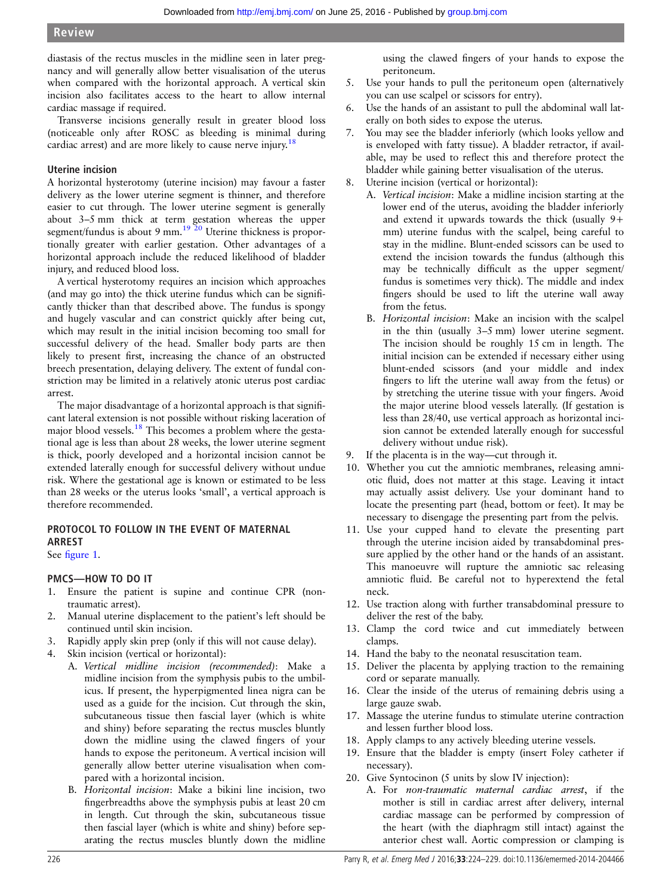diastasis of the rectus muscles in the midline seen in later pregnancy and will generally allow better visualisation of the uterus when compared with the horizontal approach. A vertical skin incision also facilitates access to the heart to allow internal cardiac massage if required.

Transverse incisions generally result in greater blood loss (noticeable only after ROSC as bleeding is minimal during cardiac arrest) and are more likely to cause nerve injury.<sup>[18](#page-5-0)</sup>

# Uterine incision

A horizontal hysterotomy (uterine incision) may favour a faster delivery as the lower uterine segment is thinner, and therefore easier to cut through. The lower uterine segment is generally about 3–5 mm thick at term gestation whereas the upper segment/fundus is about 9 mm.<sup>[19 20](#page-5-0)</sup> Uterine thickness is proportionally greater with earlier gestation. Other advantages of a horizontal approach include the reduced likelihood of bladder injury, and reduced blood loss.

A vertical hysterotomy requires an incision which approaches (and may go into) the thick uterine fundus which can be significantly thicker than that described above. The fundus is spongy and hugely vascular and can constrict quickly after being cut, which may result in the initial incision becoming too small for successful delivery of the head. Smaller body parts are then likely to present first, increasing the chance of an obstructed breech presentation, delaying delivery. The extent of fundal constriction may be limited in a relatively atonic uterus post cardiac arrest.

The major disadvantage of a horizontal approach is that significant lateral extension is not possible without risking laceration of major blood vessels.<sup>[18](#page-5-0)</sup> This becomes a problem where the gestational age is less than about 28 weeks, the lower uterine segment is thick, poorly developed and a horizontal incision cannot be extended laterally enough for successful delivery without undue risk. Where the gestational age is known or estimated to be less than 28 weeks or the uterus looks 'small', a vertical approach is therefore recommended.

### PROTOCOL TO FOLLOW IN THE EVENT OF MATERNAL ARREST

See fi[gure 1.](#page-3-0)

# PMCS—HOW TO DO IT

- 1. Ensure the patient is supine and continue CPR (nontraumatic arrest).
- 2. Manual uterine displacement to the patient's left should be continued until skin incision.
- 3. Rapidly apply skin prep (only if this will not cause delay).
- 4. Skin incision (vertical or horizontal):
	- A. Vertical midline incision (recommended): Make a midline incision from the symphysis pubis to the umbilicus. If present, the hyperpigmented linea nigra can be used as a guide for the incision. Cut through the skin, subcutaneous tissue then fascial layer (which is white and shiny) before separating the rectus muscles bluntly down the midline using the clawed fingers of your hands to expose the peritoneum. A vertical incision will generally allow better uterine visualisation when compared with a horizontal incision.
	- B. Horizontal incision: Make a bikini line incision, two fingerbreadths above the symphysis pubis at least 20 cm in length. Cut through the skin, subcutaneous tissue then fascial layer (which is white and shiny) before separating the rectus muscles bluntly down the midline

using the clawed fingers of your hands to expose the peritoneum.

- 5. Use your hands to pull the peritoneum open (alternatively you can use scalpel or scissors for entry).
- 6. Use the hands of an assistant to pull the abdominal wall laterally on both sides to expose the uterus.
- 7. You may see the bladder inferiorly (which looks yellow and is enveloped with fatty tissue). A bladder retractor, if available, may be used to reflect this and therefore protect the bladder while gaining better visualisation of the uterus.
- 8. Uterine incision (vertical or horizontal):
	- A. Vertical incision: Make a midline incision starting at the lower end of the uterus, avoiding the bladder inferiorly and extend it upwards towards the thick (usually 9+ mm) uterine fundus with the scalpel, being careful to stay in the midline. Blunt-ended scissors can be used to extend the incision towards the fundus (although this may be technically difficult as the upper segment/ fundus is sometimes very thick). The middle and index fingers should be used to lift the uterine wall away from the fetus.
	- B. Horizontal incision: Make an incision with the scalpel in the thin (usually 3–5 mm) lower uterine segment. The incision should be roughly 15 cm in length. The initial incision can be extended if necessary either using blunt-ended scissors (and your middle and index fingers to lift the uterine wall away from the fetus) or by stretching the uterine tissue with your fingers. Avoid the major uterine blood vessels laterally. (If gestation is less than 28/40, use vertical approach as horizontal incision cannot be extended laterally enough for successful delivery without undue risk).
- 9. If the placenta is in the way—cut through it.
- 10. Whether you cut the amniotic membranes, releasing amniotic fluid, does not matter at this stage. Leaving it intact may actually assist delivery. Use your dominant hand to locate the presenting part (head, bottom or feet). It may be necessary to disengage the presenting part from the pelvis.
- 11. Use your cupped hand to elevate the presenting part through the uterine incision aided by transabdominal pressure applied by the other hand or the hands of an assistant. This manoeuvre will rupture the amniotic sac releasing amniotic fluid. Be careful not to hyperextend the fetal neck.
- 12. Use traction along with further transabdominal pressure to deliver the rest of the baby.
- 13. Clamp the cord twice and cut immediately between clamps.
- 14. Hand the baby to the neonatal resuscitation team.
- 15. Deliver the placenta by applying traction to the remaining cord or separate manually.
- 16. Clear the inside of the uterus of remaining debris using a large gauze swab.
- 17. Massage the uterine fundus to stimulate uterine contraction and lessen further blood loss.
- 18. Apply clamps to any actively bleeding uterine vessels.
- 19. Ensure that the bladder is empty (insert Foley catheter if necessary).
- 20. Give Syntocinon (5 units by slow IV injection):
	- A. For non-traumatic maternal cardiac arrest, if the mother is still in cardiac arrest after delivery, internal cardiac massage can be performed by compression of the heart (with the diaphragm still intact) against the anterior chest wall. Aortic compression or clamping is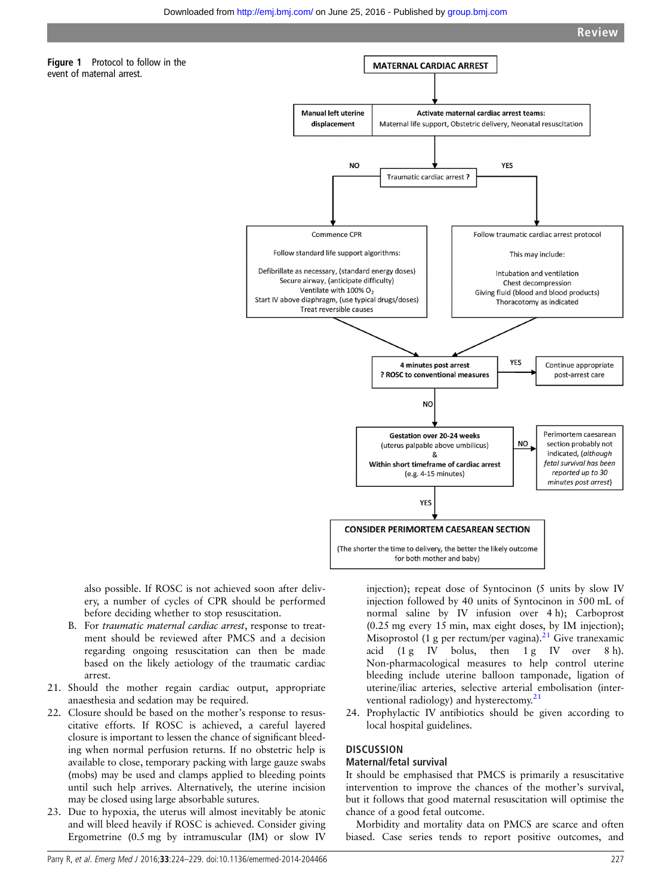<span id="page-3-0"></span>

also possible. If ROSC is not achieved soon after delivery, a number of cycles of CPR should be performed before deciding whether to stop resuscitation.

- B. For traumatic maternal cardiac arrest, response to treatment should be reviewed after PMCS and a decision regarding ongoing resuscitation can then be made based on the likely aetiology of the traumatic cardiac arrest.
- 21. Should the mother regain cardiac output, appropriate anaesthesia and sedation may be required.
- 22. Closure should be based on the mother's response to resuscitative efforts. If ROSC is achieved, a careful layered closure is important to lessen the chance of significant bleeding when normal perfusion returns. If no obstetric help is available to close, temporary packing with large gauze swabs (mobs) may be used and clamps applied to bleeding points until such help arrives. Alternatively, the uterine incision may be closed using large absorbable sutures.
- 23. Due to hypoxia, the uterus will almost inevitably be atonic and will bleed heavily if ROSC is achieved. Consider giving Ergometrine (0.5 mg by intramuscular (IM) or slow IV

injection); repeat dose of Syntocinon (5 units by slow IV injection followed by 40 units of Syntocinon in 500 mL of normal saline by IV infusion over 4 h); Carboprost (0.25 mg every 15 min, max eight doses, by IM injection); Misoprostol (1 g per rectum/per vagina). $^{21}$  $^{21}$  $^{21}$  Give tranexamic acid  $(1 g IV$  bolus, then  $1 g IV$  over  $8 h$ ). Non-pharmacological measures to help control uterine bleeding include uterine balloon tamponade, ligation of uterine/iliac arteries, selective arterial embolisation (interventional radiology) and hysterectomy. $21$ 

24. Prophylactic IV antibiotics should be given according to local hospital guidelines.

# **DISCUSSION**

### Maternal/fetal survival

It should be emphasised that PMCS is primarily a resuscitative intervention to improve the chances of the mother's survival, but it follows that good maternal resuscitation will optimise the chance of a good fetal outcome.

Morbidity and mortality data on PMCS are scarce and often biased. Case series tends to report positive outcomes, and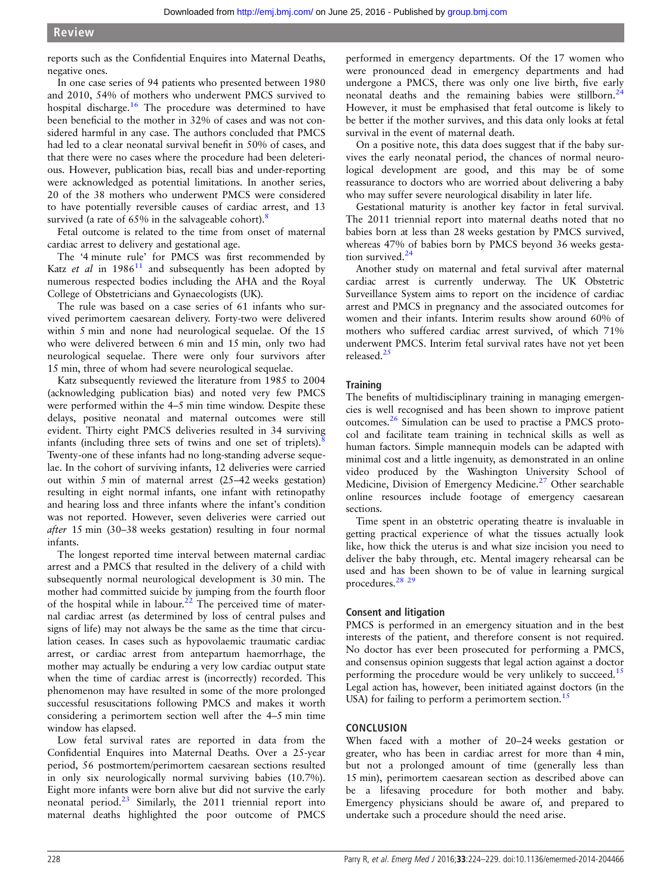reports such as the Confidential Enquires into Maternal Deaths, negative ones.

In one case series of 94 patients who presented between 1980 and 2010, 54% of mothers who underwent PMCS survived to hospital discharge.<sup>16</sup> The procedure was determined to have been beneficial to the mother in 32% of cases and was not considered harmful in any case. The authors concluded that PMCS had led to a clear neonatal survival benefit in 50% of cases, and that there were no cases where the procedure had been deleterious. However, publication bias, recall bias and under-reporting were acknowledged as potential limitations. In another series, 20 of the 38 mothers who underwent PMCS were considered to have potentially reversible causes of cardiac arrest, and 13 survived (a rate of  $65\%$  in the salvageable cohort).<sup>[8](#page-5-0)</sup>

Fetal outcome is related to the time from onset of maternal cardiac arrest to delivery and gestational age.

The '4 minute rule' for PMCS was first recommended by Katz et al in  $1986<sup>11</sup>$  and subsequently has been adopted by numerous respected bodies including the AHA and the Royal College of Obstetricians and Gynaecologists (UK).

The rule was based on a case series of 61 infants who survived perimortem caesarean delivery. Forty-two were delivered within 5 min and none had neurological sequelae. Of the 15 who were delivered between 6 min and 15 min, only two had neurological sequelae. There were only four survivors after 15 min, three of whom had severe neurological sequelae.

Katz subsequently reviewed the literature from 1985 to 2004 (acknowledging publication bias) and noted very few PMCS were performed within the 4–5 min time window. Despite these delays, positive neonatal and maternal outcomes were still evident. Thirty eight PMCS deliveries resulted in 34 surviving infants (including three sets of twins and one set of triplets).[8](#page-5-0) Twenty-one of these infants had no long-standing adverse sequelae. In the cohort of surviving infants, 12 deliveries were carried out within 5 min of maternal arrest (25–42 weeks gestation) resulting in eight normal infants, one infant with retinopathy and hearing loss and three infants where the infant's condition was not reported. However, seven deliveries were carried out after 15 min (30–38 weeks gestation) resulting in four normal infants.

The longest reported time interval between maternal cardiac arrest and a PMCS that resulted in the delivery of a child with subsequently normal neurological development is 30 min. The mother had committed suicide by jumping from the fourth floor of the hospital while in labour.<sup>[22](#page-5-0)</sup> The perceived time of maternal cardiac arrest (as determined by loss of central pulses and signs of life) may not always be the same as the time that circulation ceases. In cases such as hypovolaemic traumatic cardiac arrest, or cardiac arrest from antepartum haemorrhage, the mother may actually be enduring a very low cardiac output state when the time of cardiac arrest is (incorrectly) recorded. This phenomenon may have resulted in some of the more prolonged successful resuscitations following PMCS and makes it worth considering a perimortem section well after the 4–5 min time window has elapsed.

Low fetal survival rates are reported in data from the Confidential Enquires into Maternal Deaths. Over a 25-year period, 56 postmortem/perimortem caesarean sections resulted in only six neurologically normal surviving babies (10.7%). Eight more infants were born alive but did not survive the early neonatal period. $23$  Similarly, the 2011 triennial report into maternal deaths highlighted the poor outcome of PMCS

performed in emergency departments. Of the 17 women who were pronounced dead in emergency departments and had undergone a PMCS, there was only one live birth, five early neonatal deaths and the remaining babies were stillborn.<sup>[24](#page-5-0)</sup> However, it must be emphasised that fetal outcome is likely to be better if the mother survives, and this data only looks at fetal survival in the event of maternal death.

On a positive note, this data does suggest that if the baby survives the early neonatal period, the chances of normal neurological development are good, and this may be of some reassurance to doctors who are worried about delivering a baby who may suffer severe neurological disability in later life.

Gestational maturity is another key factor in fetal survival. The 2011 triennial report into maternal deaths noted that no babies born at less than 28 weeks gestation by PMCS survived, whereas 47% of babies born by PMCS beyond 36 weeks gesta-tion survived.<sup>[24](#page-5-0)</sup>

Another study on maternal and fetal survival after maternal cardiac arrest is currently underway. The UK Obstetric Surveillance System aims to report on the incidence of cardiac arrest and PMCS in pregnancy and the associated outcomes for women and their infants. Interim results show around 60% of mothers who suffered cardiac arrest survived, of which 71% underwent PMCS. Interim fetal survival rates have not yet been released.<sup>[25](#page-5-0)</sup>

## **Training**

The benefits of multidisciplinary training in managing emergencies is well recognised and has been shown to improve patient outcomes[.26](#page-5-0) Simulation can be used to practise a PMCS protocol and facilitate team training in technical skills as well as human factors. Simple mannequin models can be adapted with minimal cost and a little ingenuity, as demonstrated in an [online](http://emj.bmj.com/lookup/suppl/doi:10.1136/emermed-2014-204466/-/DC1) [video](http://emj.bmj.com/lookup/suppl/doi:10.1136/emermed-2014-204466/-/DC1) produced by the Washington University School of Medicine, Division of Emergency Medicine.<sup>[27](#page-5-0)</sup> Other searchable online resources include footage of emergency caesarean sections.

Time spent in an obstetric operating theatre is invaluable in getting practical experience of what the tissues actually look like, how thick the uterus is and what size incision you need to deliver the baby through, etc. Mental imagery rehearsal can be used and has been shown to be of value in learning surgical procedures.<sup>28</sup> <sup>29</sup>

### Consent and litigation

PMCS is performed in an emergency situation and in the best interests of the patient, and therefore consent is not required. No doctor has ever been prosecuted for performing a PMCS, and consensus opinion suggests that legal action against a doctor performing the procedure would be very unlikely to succeed.<sup>[15](#page-5-0)</sup> Legal action has, however, been initiated against doctors (in the USA) for failing to perform a perimortem section.<sup>15</sup>

## **CONCLUSION**

When faced with a mother of 20–24 weeks gestation or greater, who has been in cardiac arrest for more than 4 min, but not a prolonged amount of time (generally less than 15 min), perimortem caesarean section as described above can be a lifesaving procedure for both mother and baby. Emergency physicians should be aware of, and prepared to undertake such a procedure should the need arise.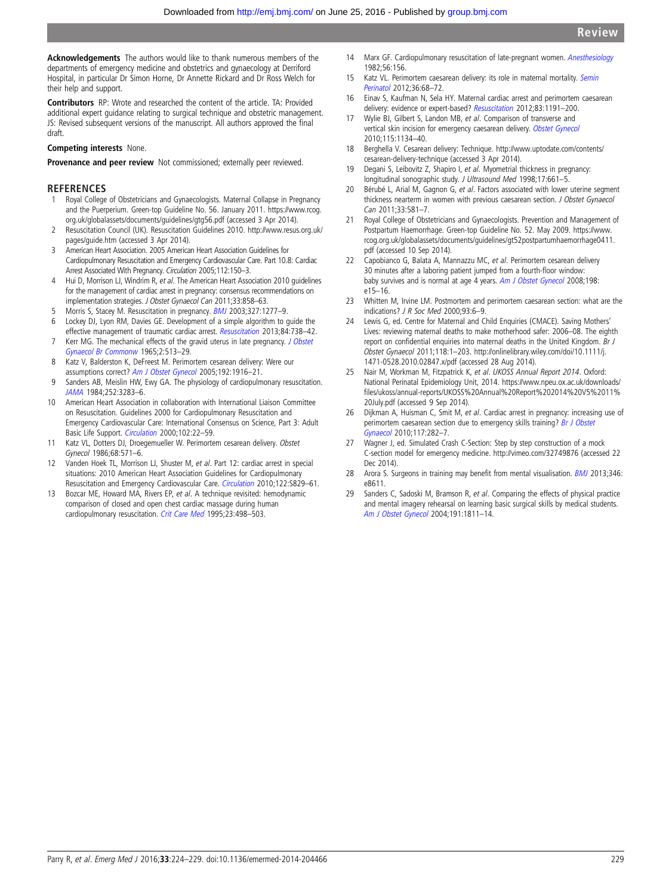<span id="page-5-0"></span>Acknowledgements The authors would like to thank numerous members of the departments of emergency medicine and obstetrics and gynaecology at Derriford Hospital, in particular Dr Simon Horne, Dr Annette Rickard and Dr Ross Welch for their help and support.

Contributors RP: Wrote and researched the content of the article. TA: Provided additional expert guidance relating to surgical technique and obstetric management. JS: Revised subsequent versions of the manuscript. All authors approved the final draft.

#### Competing interests None.

Provenance and peer review Not commissioned; externally peer reviewed.

#### REFERENCES

- 1 Royal College of Obstetricians and Gynaecologists. Maternal Collapse in Pregnancy and the Puerperium. Green-top Guideline No. 56. January 2011. [https://www.rcog.](https://www.rcog.org.uk/globalassets/documents/guidelines/gtg56.pdf) [org.uk/globalassets/documents/guidelines/gtg56.pdf](https://www.rcog.org.uk/globalassets/documents/guidelines/gtg56.pdf) (accessed 3 Apr 2014).
- 2 Resuscitation Council (UK). Resuscitation Guidelines 2010. [http://www.resus.org.uk/](http://www.resus.org.uk/pages/guide.htm) [pages/guide.htm](http://www.resus.org.uk/pages/guide.htm) (accessed 3 Apr 2014).
- 3 American Heart Association. 2005 American Heart Association Guidelines for Cardiopulmonary Resuscitation and Emergency Cardiovascular Care. Part 10.8: Cardiac Arrest Associated With Pregnancy. Circulation 2005;112:150–3.
- 4 Hui D, Morrison LJ, Windrim R, et al. The American Heart Association 2010 quidelines for the management of cardiac arrest in pregnancy: consensus recommendations on implementation strategies. J Obstet Gynaecol Can 2011;33:858–63.
- 5 Morris S, Stacey M. Resuscitation in pregnancy. **[BMJ](http://dx.doi.org/10.1136/bmj.327.7426.1277) 2003**;327:1277-9.
- 6 Lockey DJ, Lyon RM, Davies GE. Development of a simple algorithm to guide the effective management of traumatic cardiac arrest. [Resuscitation](http://dx.doi.org/10.1016/j.resuscitation.2012.12.003) 2013;84:738–42.
- 7 Kerr MG. The mechanical effects of the gravid uterus in late pregnancy. [J Obstet](http://dx.doi.org/10.1111/j.1471-0528.1965.tb00061.x) [Gynaecol Br Commonw](http://dx.doi.org/10.1111/j.1471-0528.1965.tb00061.x) 1965;2:513–29.
- 8 Katz V, Balderston K, DeFreest M. Perimortem cesarean delivery: Were our assumptions correct? [Am J Obstet Gynecol](http://dx.doi.org/10.1016/j.ajog.2005.02.038) 2005;192:1916–21.
- 9 Sanders AB, Meislin HW, Ewy GA. The physiology of cardiopulmonary resuscitation. [JAMA](http://dx.doi.org/10.1001/jama.1984.03350230043031) 1984;252:3283–6.
- 10 American Heart Association in collaboration with International Liaison Committee on Resuscitation. Guidelines 2000 for Cardiopulmonary Resuscitation and Emergency Cardiovascular Care: International Consensus on Science, Part 3: Adult Basic Life Support. [Circulation](http://dx.doi.org/10.1161/01.CIR.102.3.e22) 2000;102:22-59.
- 11 Katz VL, Dotters DJ, Droegemueller W. Perimortem cesarean delivery. Obstet Gynecol 1986;68:571–6.
- 12 Vanden Hoek TL, Morrison LJ, Shuster M, et al. Part 12: cardiac arrest in special situations: 2010 American Heart Association Guidelines for Cardiopulmonary Resuscitation and Emergency Cardiovascular Care. [Circulation](http://dx.doi.org/10.1161/CIRCULATIONAHA.110.971069) 2010;122:S829–61.
- 13 Bozcar ME, Howard MA, Rivers EP, et al. A technique revisited: hemodynamic comparison of closed and open chest cardiac massage during human cardiopulmonary resuscitation. [Crit Care Med](http://dx.doi.org/10.1097/00003246-199503000-00014) 1995;23:498–503.
- 14 Marx GF. Cardiopulmonary resuscitation of late-pregnant women. [Anesthesiology](http://dx.doi.org/10.1097/00000542-198202000-00018) 1982;56:156.
- 15 Katz VL. Perimortem caesarean delivery: its role in maternal mortality. [Semin](http://dx.doi.org/10.1053/j.semperi.2011.09.013) [Perinatol](http://dx.doi.org/10.1053/j.semperi.2011.09.013) 2012;36:68–72.
- 16 Einav S, Kaufman N, Sela HY. Maternal cardiac arrest and perimortem caesarean delivery: evidence or expert-based? [Resuscitation](http://dx.doi.org/10.1016/j.resuscitation.2012.05.005) 2012;83:1191-200.
- 17 Wylie BJ, Gilbert S, Landon MB, et al. Comparison of transverse and vertical skin incision for emergency caesarean delivery. [Obstet Gynecol](http://dx.doi.org/10.1097/AOG.0b013e3181df937f) 2010;115:1134–40.
- 18 Berghella V. Cesarean delivery: Technique. [http://www.uptodate.com/contents/](http://www.uptodate.com/contents/cesarean-delivery-technique) [cesarean-delivery-technique](http://www.uptodate.com/contents/cesarean-delivery-technique) (accessed 3 Apr 2014).
- 19 Degani S, Leibovitz Z, Shapiro I, et al. Myometrial thickness in pregnancy: longitudinal sonographic study. J Ultrasound Med 1998;17:661-5.
- 20 Bérubé L, Arial M, Gagnon G, et al. Factors associated with lower uterine segment thickness nearterm in women with previous caesarean section. J Obstet Gynaecol  $Can 2011:33:581-7$
- 21 Royal College of Obstetricians and Gynaecologists. Prevention and Management of Postpartum Haemorrhage. Green-top Guideline No. 52. May 2009. [https://www.](https://www.rcog.org.uk/globalassets/documents/guidelines/gt52postpartumhaemorrhage0411.pdf) [rcog.org.uk/globalassets/documents/guidelines/gt52postpartumhaemorrhage0411.](https://www.rcog.org.uk/globalassets/documents/guidelines/gt52postpartumhaemorrhage0411.pdf) [pdf](https://www.rcog.org.uk/globalassets/documents/guidelines/gt52postpartumhaemorrhage0411.pdf) (accessed 10 Sep 2014).
- 22 Capobianco G, Balata A, Mannazzu MC, et al. Perimortem cesarean delivery 30 minutes after a laboring patient jumped from a fourth-floor window: baby survives and is normal at age 4 years. [Am J Obstet Gynecol](http://dx.doi.org/10.1016/j.ajog.2007.09.007) 2008;198: e15–16.
- 23 Whitten M, Irvine LM. Postmortem and perimortem caesarean section: what are the indications? J R Soc Med 2000;93:6–9.
- 24 Lewis G, ed. Centre for Maternal and Child Enquiries (CMACE). Saving Mothers' Lives: reviewing maternal deaths to make motherhood safer: 2006–08. The eighth report on confidential enquiries into maternal deaths in the United Kingdom. Br J Obstet Gynaecol 2011;118:1–203. [http://onlinelibrary.wiley.com/doi/10.1111/j.](http://onlinelibrary.wiley.com/doi/10.1111/j.1471-0528.2010.02847.x/pdf) [1471-0528.2010.02847.x/pdf](http://onlinelibrary.wiley.com/doi/10.1111/j.1471-0528.2010.02847.x/pdf) (accessed 28 Aug 2014).
- 25 Nair M, Workman M, Fitzpatrick K, et al. UKOSS Annual Report 2014. Oxford: National Perinatal Epidemiology Unit, 2014. [https://www.npeu.ox.ac.uk/downloads/](https://www.npeu.ox.ac.uk/downloads/files/ukoss/annual-reports/UKOSS%20Annual%20Report%202014%20V5%2011%20July.pdf) fi[les/ukoss/annual-reports/UKOSS%20Annual%20Report%202014%20V5%2011%](https://www.npeu.ox.ac.uk/downloads/files/ukoss/annual-reports/UKOSS%20Annual%20Report%202014%20V5%2011%20July.pdf) [20July.pdf](https://www.npeu.ox.ac.uk/downloads/files/ukoss/annual-reports/UKOSS%20Annual%20Report%202014%20V5%2011%20July.pdf) (accessed 9 Sep 2014).
- 26 Dijkman A, Huisman C, Smit M, et al. Cardiac arrest in pregnancy: increasing use of perimortem caesarean section due to emergency skills training? [Br J Obstet](http://dx.doi.org/10.1111/j.1471-0528.2009.02461.x) [Gynaecol](http://dx.doi.org/10.1111/j.1471-0528.2009.02461.x) 2010;117:282–7.
- 27 Wagner J, ed. Simulated Crash C-Section: Step by step construction of a mock C-section model for emergency medicine.<http://vimeo.com/32749876> (accessed 22 Dec 2014).
- 28 Arora S. Surgeons in training may benefit from mental visualisation. [BMJ](http://dx.doi.org/10.1136/bmj.e8611) 2013;346: e8611.
- 29 Sanders C, Sadoski M, Bramson R, et al. Comparing the effects of physical practice and mental imagery rehearsal on learning basic surgical skills by medical students. [Am J Obstet Gynecol](http://dx.doi.org/10.1016/j.ajog.2004.07.075) 2004;191:1811–14.